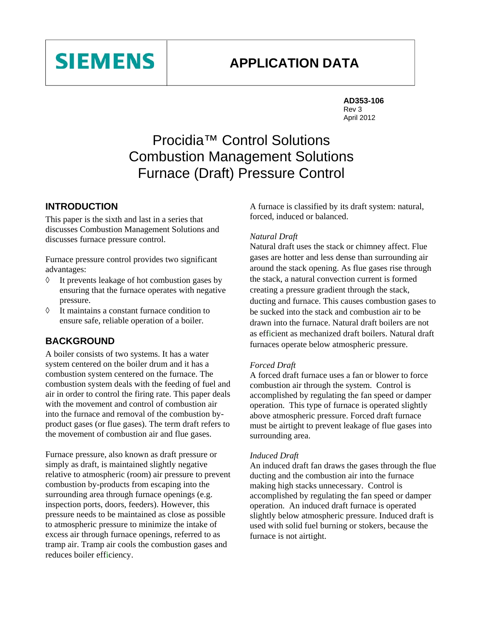# **APPLICATION DATA**



# Procidia™ Control Solutions Combustion Management Solutions Furnace (Draft) Pressure Control

## **INTRODUCTION**

**SIEMENS** 

This paper is the sixth and last in a series that discusses Combustion Management Solutions and discusses furnace pressure control.

Furnace pressure control provides two significant advantages:

- ◊ It prevents leakage of hot combustion gases by ensuring that the furnace operates with negative pressure.
- ◊ It maintains a constant furnace condition to ensure safe, reliable operation of a boiler.

## **BACKGROUND**

A boiler consists of two systems. It has a water system centered on the boiler drum and it has a combustion system centered on the furnace. The combustion system deals with the feeding of fuel and air in order to control the firing rate. This paper deals with the movement and control of combustion air into the furnace and removal of the combustion byproduct gases (or flue gases). The term draft refers to the movement of combustion air and flue gases.

Furnace pressure, also known as draft pressure or simply as draft, is maintained slightly negative relative to atmospheric (room) air pressure to prevent combustion by-products from escaping into the surrounding area through furnace openings (e.g. inspection ports, doors, feeders). However, this pressure needs to be maintained as close as possible to atmospheric pressure to minimize the intake of excess air through furnace openings, referred to as tramp air. Tramp air cools the combustion gases and reduces boiler efficiency.

A furnace is classified by its draft system: natural, forced, induced or balanced.

#### *Natural Draft*

Natural draft uses the stack or chimney affect. Flue gases are hotter and less dense than surrounding air around the stack opening. As flue gases rise through the stack, a natural convection current is formed creating a pressure gradient through the stack, ducting and furnace. This causes combustion gases to be sucked into the stack and combustion air to be drawn into the furnace. Natural draft boilers are not as efficient as mechanized draft boilers. Natural draft furnaces operate below atmospheric pressure.

#### *Forced Draft*

A forced draft furnace uses a fan or blower to force combustion air through the system. Control is accomplished by regulating the fan speed or damper operation. This type of furnace is operated slightly above atmospheric pressure. Forced draft furnace must be airtight to prevent leakage of flue gases into surrounding area.

#### *Induced Draft*

An induced draft fan draws the gases through the flue ducting and the combustion air into the furnace making high stacks unnecessary. Control is accomplished by regulating the fan speed or damper operation. An induced draft furnace is operated slightly below atmospheric pressure. Induced draft is used with solid fuel burning or stokers, because the furnace is not airtight.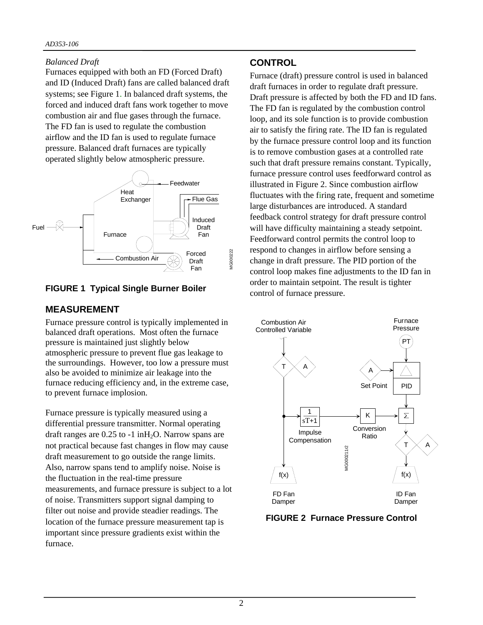### *Balanced Draft*

Furnaces equipped with both an FD (Forced Draft) and ID (Induced Draft) fans are called balanced draft systems; see Figure 1. In balanced draft systems, the forced and induced draft fans work together to move combustion air and flue gases through the furnace. The FD fan is used to regulate the combustion airflow and the ID fan is used to regulate furnace pressure. Balanced draft furnaces are typically operated slightly below atmospheric pressure.



## **FIGURE 1 Typical Single Burner Boiler**

## **MEASUREMENT**

Furnace pressure control is typically implemented in balanced draft operations. Most often the furnace pressure is maintained just slightly below atmospheric pressure to prevent flue gas leakage to the surroundings. However, too low a pressure must also be avoided to minimize air leakage into the furnace reducing efficiency and, in the extreme case, to prevent furnace implosion.

Furnace pressure is typically measured using a differential pressure transmitter. Normal operating draft ranges are  $0.25$  to  $-1$  in  $H_2O$ . Narrow spans are not practical because fast changes in flow may cause draft measurement to go outside the range limits. Also, narrow spans tend to amplify noise. Noise is the fluctuation in the real-time pressure measurements, and furnace pressure is subject to a lot of noise. Transmitters support signal damping to filter out noise and provide steadier readings. The location of the furnace pressure measurement tap is important since pressure gradients exist within the furnace.

# **CONTROL**

Furnace (draft) pressure control is used in balanced draft furnaces in order to regulate draft pressure. Draft pressure is affected by both the FD and ID fans. The FD fan is regulated by the combustion control loop, and its sole function is to provide combustion air to satisfy the firing rate. The ID fan is regulated by the furnace pressure control loop and its function is to remove combustion gases at a controlled rate such that draft pressure remains constant. Typically, furnace pressure control uses feedforward control as illustrated in Figure 2. Since combustion airflow fluctuates with the firing rate, frequent and sometime large disturbances are introduced. A standard feedback control strategy for draft pressure control will have difficulty maintaining a steady setpoint. Feedforward control permits the control loop to respond to changes in airflow before sensing a change in draft pressure. The PID portion of the control loop makes fine adjustments to the ID fan in order to maintain setpoint. The result is tighter control of furnace pressure.